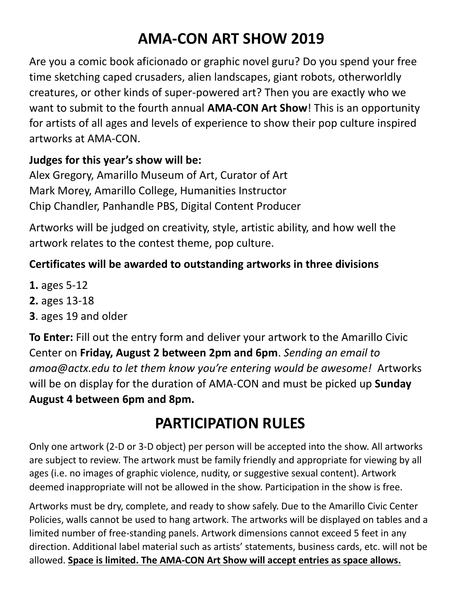# **AMA-CON ART SHOW 2019**

Are you a comic book aficionado or graphic novel guru? Do you spend your free time sketching caped crusaders, alien landscapes, giant robots, otherworldly creatures, or other kinds of super-powered art? Then you are exactly who we want to submit to the fourth annual **AMA-CON Art Show**! This is an opportunity for artists of all ages and levels of experience to show their pop culture inspired artworks at AMA-CON.

#### **Judges for this year's show will be:**

Alex Gregory, Amarillo Museum of Art, Curator of Art Mark Morey, Amarillo College, Humanities Instructor Chip Chandler, Panhandle PBS, Digital Content Producer

Artworks will be judged on creativity, style, artistic ability, and how well the artwork relates to the contest theme, pop culture.

#### **Certificates will be awarded to outstanding artworks in three divisions**

- **1.** ages 5-12
- **2.** ages 13-18
- **3**. ages 19 and older

**To Enter:** Fill out the entry form and deliver your artwork to the Amarillo Civic Center on **Friday, August 2 between 2pm and 6pm**. *Sending an email to amoa@actx.edu to let them know you're entering would be awesome!* Artworks will be on display for the duration of AMA-CON and must be picked up **Sunday August 4 between 6pm and 8pm.** 

### **PARTICIPATION RULES**

Only one artwork (2-D or 3-D object) per person will be accepted into the show. All artworks are subject to review. The artwork must be family friendly and appropriate for viewing by all ages (i.e. no images of graphic violence, nudity, or suggestive sexual content). Artwork deemed inappropriate will not be allowed in the show. Participation in the show is free.

Artworks must be dry, complete, and ready to show safely. Due to the Amarillo Civic Center Policies, walls cannot be used to hang artwork. The artworks will be displayed on tables and a limited number of free-standing panels. Artwork dimensions cannot exceed 5 feet in any direction. Additional label material such as artists' statements, business cards, etc. will not be allowed. **Space is limited. The AMA-CON Art Show will accept entries as space allows.**